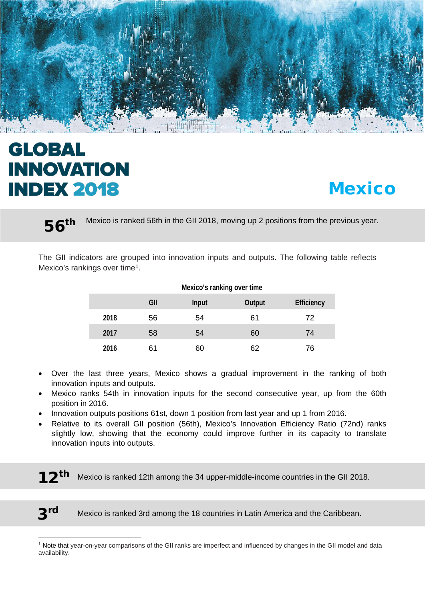

# **GLOBAL INNOVATION INDEX 2018**

# **Mexico**

56<sup>th Mexico is ranked 56th in the GII 2018, moving up 2 positions from the previous year.</sup>

The GII indicators are grouped into innovation inputs and outputs. The following table reflects Mexico's rankings over time<sup>1</sup>.

|      | Mexico's ranking over time |              |               |                   |  |  |  |
|------|----------------------------|--------------|---------------|-------------------|--|--|--|
|      | GII                        | <b>Input</b> | <b>Output</b> | <b>Efficiency</b> |  |  |  |
| 2018 | 56                         | 54           | 61            | 72                |  |  |  |
| 2017 | 58                         | 54           | 60            | 74                |  |  |  |
| 2016 | 61                         | 60           | 62            | 76                |  |  |  |

#### • Over the last three years, Mexico shows a gradual improvement in the ranking of both innovation inputs and outputs.

- Mexico ranks 54th in innovation inputs for the second consecutive year, up from the 60th position in 2016.
- Innovation outputs positions 61st, down 1 position from last year and up 1 from 2016.
- Relative to its overall GII position (56th), Mexico's Innovation Efficiency Ratio (72nd) ranks slightly low, showing that the economy could improve further in its capacity to translate innovation inputs into outputs.

**12<sup>In</sup>** Mexico is ranked 12th among the 34 upper-middle-income countries in the GII 2018.

l

3rd Mexico is ranked 3rd among the 18 countries in Latin America and the Caribbean.

<span id="page-0-0"></span><sup>1</sup> Note that year-on-year comparisons of the GII ranks are imperfect and influenced by changes in the GII model and data availability.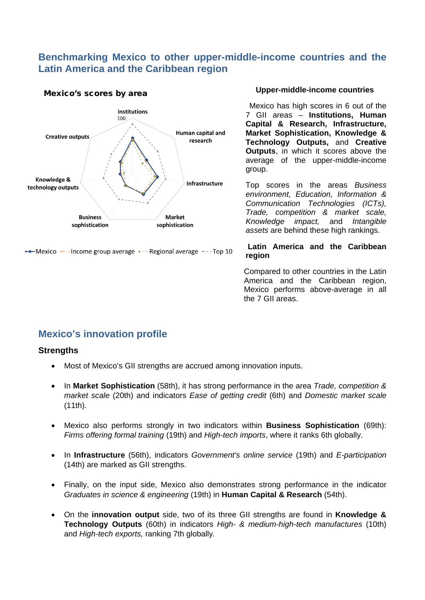### **Benchmarking Mexico to other upper-middle-income countries and the Latin America and the Caribbean region**





• Mexico • Income group average • · · Regional average • - - Top 10

#### **Upper-middle-income countries**

Mexico has high scores in 6 out of the 7 GII areas – **Institutions, Human Capital & Research, Infrastructure, Market Sophistication, Knowledge & Technology Outputs,** and **Creative Outputs**, in which it scores above the average of the upper-middle-income group.

Top scores in the areas *Business environment, Education, Information & Communication Technologies (ICTs), Trade, competition & market scale, Knowledge impact,* and *Intangible assets* are behind these high rankings.

#### **Latin America and the Caribbean region**

Compared to other countries in the Latin America and the Caribbean region, Mexico performs above-average in all the 7 GII areas.

## **Mexico's innovation profile**

#### **Strengths**

- Most of Mexico's GII strengths are accrued among innovation inputs.
- In **Market Sophistication** (58th), it has strong performance in the area *Trade, competition & market scale* (20th) and indicators *Ease of getting credit* (6th) and *Domestic market scale* (11th).
- Mexico also performs strongly in two indicators within **Business Sophistication** (69th): *Firms offering formal training* (19th) and *High-tech imports*, where it ranks 6th globally.
- In **Infrastructure** (56th), indicators *Government's online service* (19th) and *E-participation* (14th) are marked as GII strengths.
- Finally, on the input side, Mexico also demonstrates strong performance in the indicator *Graduates in science & engineering* (19th) in **Human Capital & Research** (54th).
- On the **innovation output** side, two of its three GII strengths are found in **Knowledge & Technology Outputs** (60th) in indicators *High- & medium-high-tech manufactures* (10th) and *High-tech exports,* ranking 7th globally*.*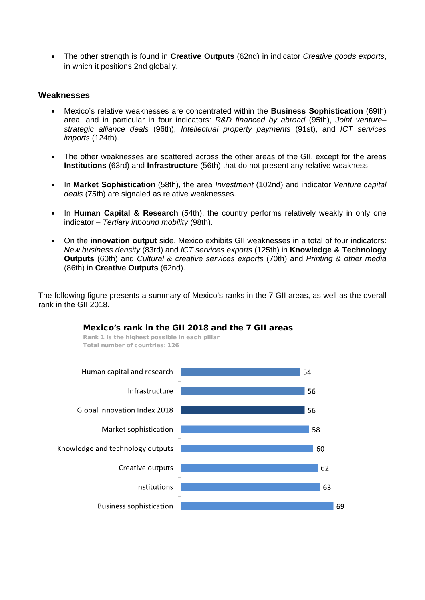• The other strength is found in **Creative Outputs** (62nd) in indicator *Creative goods exports*, in which it positions 2nd globally.

#### **Weaknesses**

- Mexico's relative weaknesses are concentrated within the **Business Sophistication** (69th) area, and in particular in four indicators: *R&D financed by abroad* (95th), *Joint venture– strategic alliance deals* (96th), *Intellectual property payments* (91st), and *ICT services imports* (124th).
- The other weaknesses are scattered across the other areas of the GII, except for the areas **Institutions** (63rd) and **Infrastructure** (56th) that do not present any relative weakness.
- In **Market Sophistication** (58th), the area *Investment* (102nd) and indicator *Venture capital deals* (75th) are signaled as relative weaknesses.
- In **Human Capital & Research** (54th), the country performs relatively weakly in only one indicator – *Tertiary inbound mobility* (98th).
- On the **innovation output** side, Mexico exhibits GII weaknesses in a total of four indicators: *New business density* (83rd) and *ICT services exports* (125th) in **Knowledge & Technology Outputs** (60th) and *Cultural & creative services exports* (70th) and *Printing & other media* (86th) in **Creative Outputs** (62nd).

The following figure presents a summary of Mexico's ranks in the 7 GII areas, as well as the overall rank in the GII 2018.



#### Mexico's rank in the GII 2018 and the 7 GII areas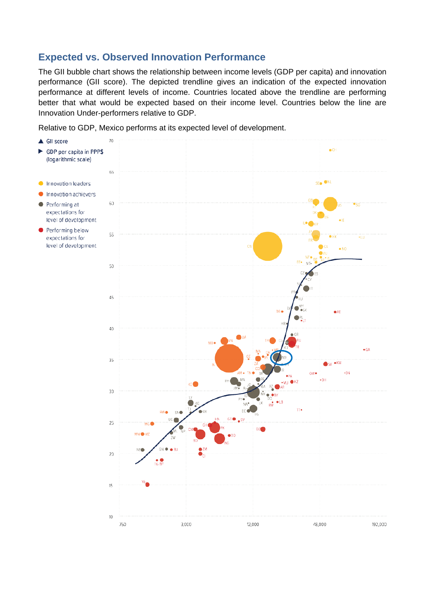## **Expected vs. Observed Innovation Performance**

The GII bubble chart shows the relationship between income levels (GDP per capita) and innovation performance (GII score). The depicted trendline gives an indication of the expected innovation performance at different levels of income. Countries located above the trendline are performing better that what would be expected based on their income level. Countries below the line are Innovation Under-performers relative to GDP.

Relative to GDP, Mexico performs at its expected level of development.

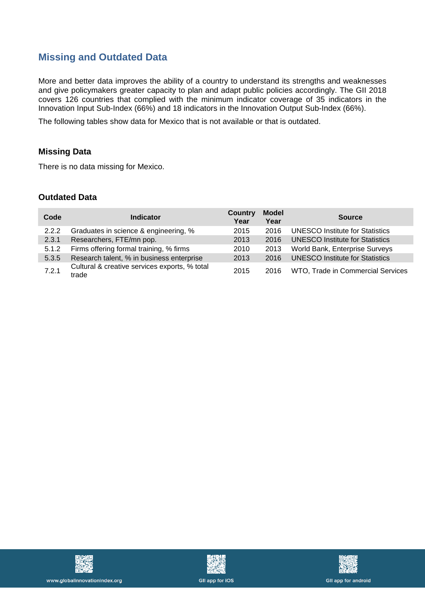# **Missing and Outdated Data**

More and better data improves the ability of a country to understand its strengths and weaknesses and give policymakers greater capacity to plan and adapt public policies accordingly. The GII 2018 covers 126 countries that complied with the minimum indicator coverage of 35 indicators in the Innovation Input Sub-Index (66%) and 18 indicators in the Innovation Output Sub-Index (66%).

The following tables show data for Mexico that is not available or that is outdated.

#### **Missing Data**

There is no data missing for Mexico.

#### **Outdated Data**

| Code  | <b>Indicator</b>                                       | <b>Country</b><br>Year | <b>Model</b><br>Year | <b>Source</b>                          |
|-------|--------------------------------------------------------|------------------------|----------------------|----------------------------------------|
| 2.2.2 | Graduates in science & engineering, %                  | 2015                   | 2016                 | <b>UNESCO Institute for Statistics</b> |
| 2.3.1 | Researchers, FTE/mn pop.                               | 2013                   | 2016                 | <b>UNESCO Institute for Statistics</b> |
| 5.1.2 | Firms offering formal training, % firms                | 2010                   | 2013                 | World Bank, Enterprise Surveys         |
| 5.3.5 | Research talent, % in business enterprise              | 2013                   | 2016                 | <b>UNESCO Institute for Statistics</b> |
| 7.2.1 | Cultural & creative services exports, % total<br>trade | 2015                   | 2016                 | WTO, Trade in Commercial Services      |